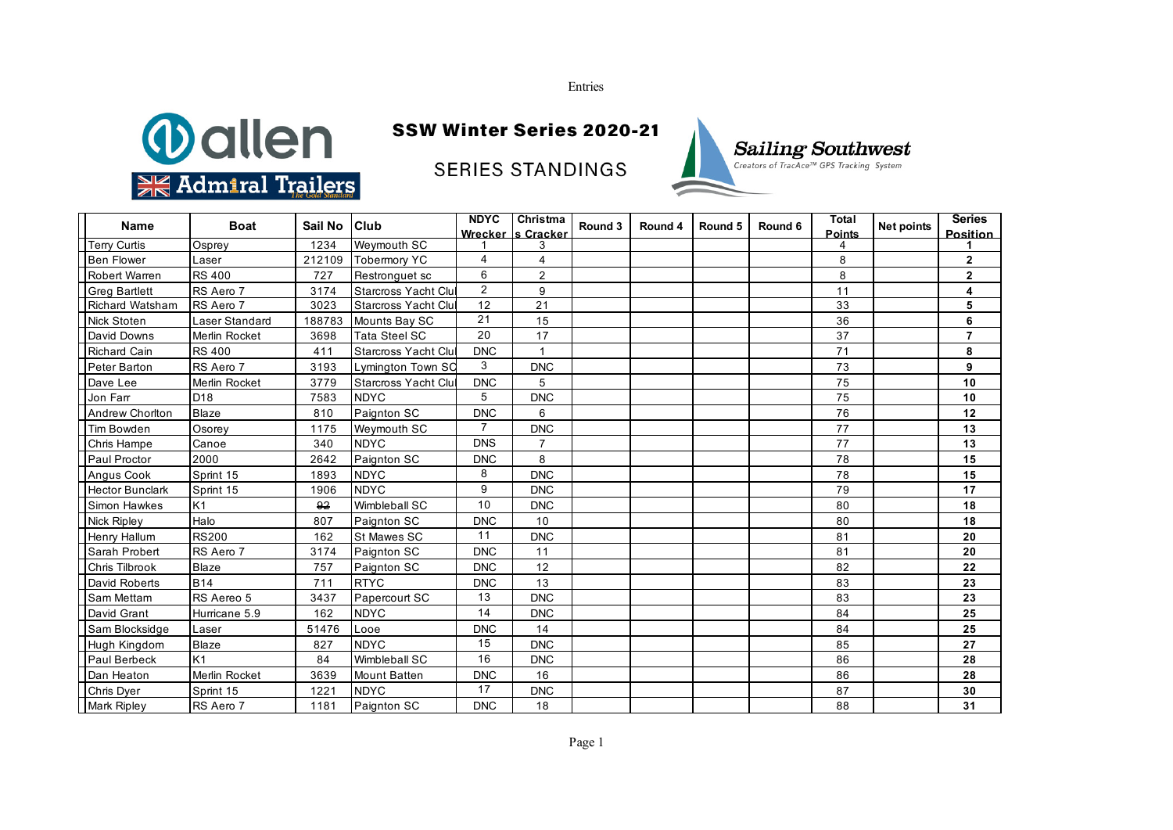Entries



## SSW Winter Series 2020-21

**SERIES STANDINGS** 



| <b>Name</b>            | <b>Boat</b>     | Sail No | <b>Club</b>                | <b>NDYC</b>    | Christma<br>Wrecker Is Cracker | Round 3 | Round 4 | Round 5 | Round 6 | <b>Total</b><br><b>Points</b> | Net points | <b>Series</b><br><b>Position</b> |
|------------------------|-----------------|---------|----------------------------|----------------|--------------------------------|---------|---------|---------|---------|-------------------------------|------------|----------------------------------|
| <b>Terry Curtis</b>    | Osprey          | 1234    | Weymouth SC                |                | 3                              |         |         |         |         |                               |            |                                  |
| <b>Ben Flower</b>      | Laser           | 212109  | <b>Tobermory YC</b>        | 4              | 4                              |         |         |         |         | 8                             |            | $\mathbf{2}$                     |
| <b>Robert Warren</b>   | <b>RS 400</b>   | 727     | Restronguet sc             | 6              | $\overline{2}$                 |         |         |         |         | 8                             |            | $\mathbf{2}$                     |
| <b>Greg Bartlett</b>   | RS Aero 7       | 3174    | <b>Starcross Yacht Clu</b> | $\overline{2}$ | 9                              |         |         |         |         | 11                            |            | 4                                |
| Richard Watsham        | RS Aero 7       | 3023    | <b>Starcross Yacht Clu</b> | 12             | 21                             |         |         |         |         | 33                            |            | 5                                |
| <b>Nick Stoten</b>     | Laser Standard  | 188783  | Mounts Bay SC              | 21             | 15                             |         |         |         |         | 36                            |            | 6                                |
| David Downs            | Merlin Rocket   | 3698    | <b>Tata Steel SC</b>       | 20             | 17                             |         |         |         |         | 37                            |            | $\overline{7}$                   |
| <b>Richard Cain</b>    | <b>RS 400</b>   | 411     | Starcross Yacht Clu        | <b>DNC</b>     |                                |         |         |         |         | 71                            |            | 8                                |
| Peter Barton           | RS Aero 7       | 3193    | Lymington Town SC          | 3              | <b>DNC</b>                     |         |         |         |         | 73                            |            | 9                                |
| Dave Lee               | Merlin Rocket   | 3779    | <b>Starcross Yacht Clu</b> | <b>DNC</b>     | 5                              |         |         |         |         | 75                            |            | 10                               |
| Jon Farr               | D <sub>18</sub> | 7583    | <b>NDYC</b>                | 5              | <b>DNC</b>                     |         |         |         |         | 75                            |            | 10                               |
| <b>Andrew Chorlton</b> | Blaze           | 810     | Paignton SC                | <b>DNC</b>     | 6                              |         |         |         |         | 76                            |            | 12                               |
| <b>Tim Bowden</b>      | Osorey          | 1175    | Weymouth SC                | $\overline{7}$ | <b>DNC</b>                     |         |         |         |         | 77                            |            | 13                               |
| Chris Hampe            | Canoe           | 340     | <b>NDYC</b>                | <b>DNS</b>     | $\overline{7}$                 |         |         |         |         | 77                            |            | 13                               |
| Paul Proctor           | 2000            | 2642    | Paignton SC                | <b>DNC</b>     | 8                              |         |         |         |         | 78                            |            | 15                               |
| Angus Cook             | Sprint 15       | 1893    | <b>NDYC</b>                | 8              | <b>DNC</b>                     |         |         |         |         | 78                            |            | 15                               |
| <b>Hector Bunclark</b> | Sprint 15       | 1906    | <b>NDYC</b>                | 9              | <b>DNC</b>                     |         |         |         |         | 79                            |            | 17                               |
| <b>Simon Hawkes</b>    | K1              | 92      | Wimbleball SC              | 10             | <b>DNC</b>                     |         |         |         |         | 80                            |            | 18                               |
| <b>Nick Ripley</b>     | Halo            | 807     | Paignton SC                | <b>DNC</b>     | 10                             |         |         |         |         | 80                            |            | 18                               |
| Henry Hallum           | <b>RS200</b>    | 162     | St Mawes SC                | 11             | <b>DNC</b>                     |         |         |         |         | 81                            |            | 20                               |
| Sarah Probert          | RS Aero 7       | 3174    | Paignton SC                | <b>DNC</b>     | 11                             |         |         |         |         | 81                            |            | 20                               |
| <b>Chris Tilbrook</b>  | <b>Blaze</b>    | 757     | Paignton SC                | <b>DNC</b>     | 12                             |         |         |         |         | 82                            |            | 22                               |
| David Roberts          | <b>B14</b>      | 711     | <b>RTYC</b>                | <b>DNC</b>     | 13                             |         |         |         |         | 83                            |            | 23                               |
| Sam Mettam             | RS Aereo 5      | 3437    | Papercourt SC              | 13             | <b>DNC</b>                     |         |         |         |         | 83                            |            | 23                               |
| David Grant            | Hurricane 5.9   | 162     | <b>NDYC</b>                | 14             | <b>DNC</b>                     |         |         |         |         | 84                            |            | 25                               |
| Sam Blocksidge         | Laser           | 51476   | Looe                       | <b>DNC</b>     | 14                             |         |         |         |         | 84                            |            | 25                               |
| Hugh Kingdom           | <b>Blaze</b>    | 827     | <b>NDYC</b>                | 15             | <b>DNC</b>                     |         |         |         |         | 85                            |            | 27                               |
| <b>Paul Berbeck</b>    | K <sub>1</sub>  | 84      | Wimbleball SC              | 16             | <b>DNC</b>                     |         |         |         |         | 86                            |            | 28                               |
| Dan Heaton             | Merlin Rocket   | 3639    | <b>Mount Batten</b>        | <b>DNC</b>     | 16                             |         |         |         |         | 86                            |            | 28                               |
| Chris Dyer             | Sprint 15       | 1221    | <b>NDYC</b>                | 17             | <b>DNC</b>                     |         |         |         |         | 87                            |            | 30                               |
| <b>Mark Ripley</b>     | RS Aero 7       | 1181    | Paignton SC                | <b>DNC</b>     | 18                             |         |         |         |         | 88                            |            | 31                               |